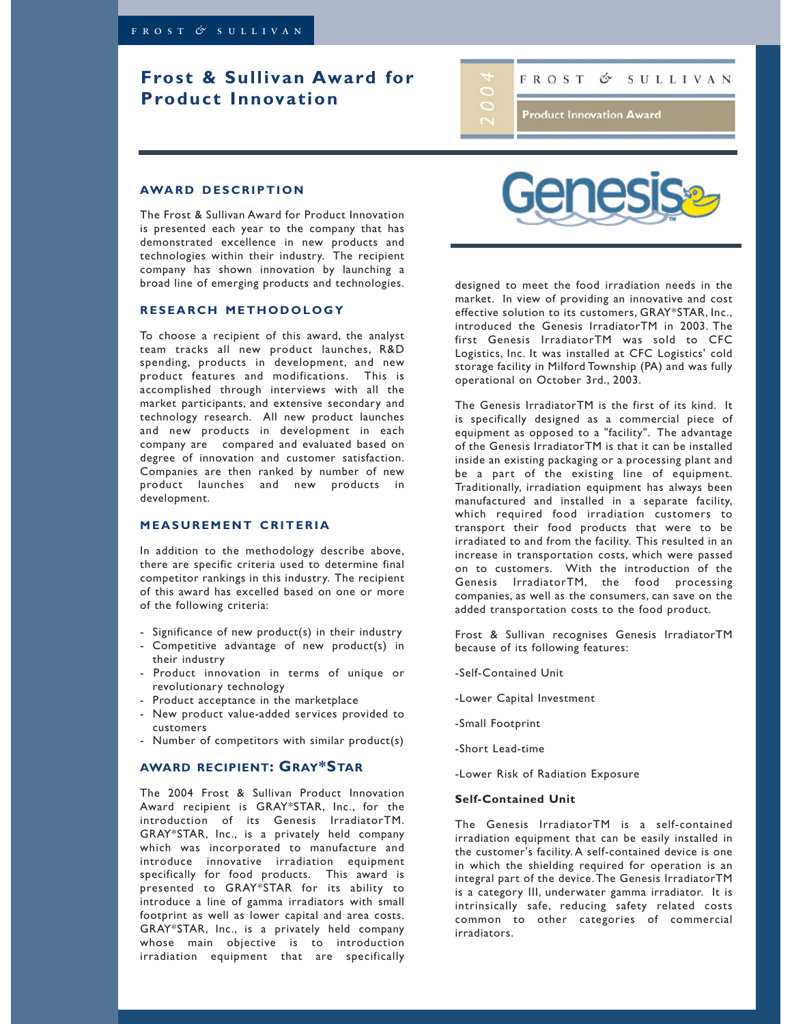# **Frost & Sullivan Award for Product Innovation**

SULLIVAN **FROST** Ó

**Product Innovation Award** 

### **AWARD DESCRIPTION**

The Frost & Sullivan Award for Product Innovation is presented each year to the company that has demonstrated excellence in new products and technologies within their industry. The recipient company has shown innovation by launching a broad line of emerging products and technologies.

### **RESEARCH METHODOLOGY**

To choose a recipient of this award, the analyst team tracks all new product launches, R&D spending, products in development, and new product features and modifications. This is accomplished through interviews with all the market participants, and extensive secondary and technology research. All new product launches and new products in development in each company are compared and evaluated based on degree of innovation and customer satisfaction. Companies are then ranked by number of new product launches and new products in development.

## **MEASUREMENT CRITERIA**

In addition to the methodology describe above, there are specific criteria used to determine final competitor rankings in this industry. The recipient of this award has excelled based on one or more of the following criteria:

- Significance of new product(s) in their industry
- Competitive advantage of new product(s) in their industry
- Product innovation in terms of unique or revolutionary technology
- Product acceptance in the marketplace
- New product value-added services provided to customers
- Number of competitors with similar product(s)

## **AWARD RECIPIENT: GRAY\*STAR**

The 2004 Frost & Sullivan Product Innovation Award recipient is GRAY\*STAR, Inc., for the introduction of its Genesis IrradiatorTM. GRAY\*STAR, Inc., is a privately held company which was incorporated to manufacture and introduce innovative irradiation equipment specifically for food products. This award is presented to GRAY\*STAR for its ability to introduce a line of gamma irradiators with small footprint as well as lower capital and area costs. GRAY\*STAR, Inc., is a privately held company whose main objective is to introduction irradiation equipment that are specifically



designed to meet the food irradiation needs in the market. In view of providing an innovative and cost effective solution to its customers, GRAY\*STAR, Inc., introduced the Genesis IrradiatorTM in 2003. The first Genesis IrradiatorTM was sold to CFC Logistics, Inc. It was installed at CFC Logistics' cold storage facility in Milford Township (PA) and was fully operational on October 3rd., 2003.

The Genesis IrradiatorTM is the first of its kind. It is specifically designed as a commercial piece of equipment as opposed to a "facility". The advantage of the Genesis IrradiatorTM is that it can be installed inside an existing packaging or a processing plant and be a part of the existing line of equipment. Traditionally, irradiation equipment has always been manufactured and installed in a separate facility, which required food irradiation customers to transport their food products that were to be irradiated to and from the facility. This resulted in an increase in transportation costs, which were passed on to customers. With the introduction of the Genesis IrradiatorTM, the food processing companies, as well as the consumers, can save on the added transportation costs to the food product.

Frost & Sullivan recognises Genesis IrradiatorTM because of its following features:

- -Self-Contained Unit
- -Lower Capital Investment
- -Small Footprint
- -Short Lead-time
- -Lower Risk of Radiation Exposure

## **Self-Contained Unit**

The Genesis IrradiatorTM is a self-contained irradiation equipment that can be easily installed in the customer's facility. A self-contained device is one in which the shielding required for operation is an integral part of the device.The Genesis IrradiatorTM is a category III, underwater gamma irradiator. It is intrinsically safe, reducing safety related costs common to other categories of commercial irradiators.